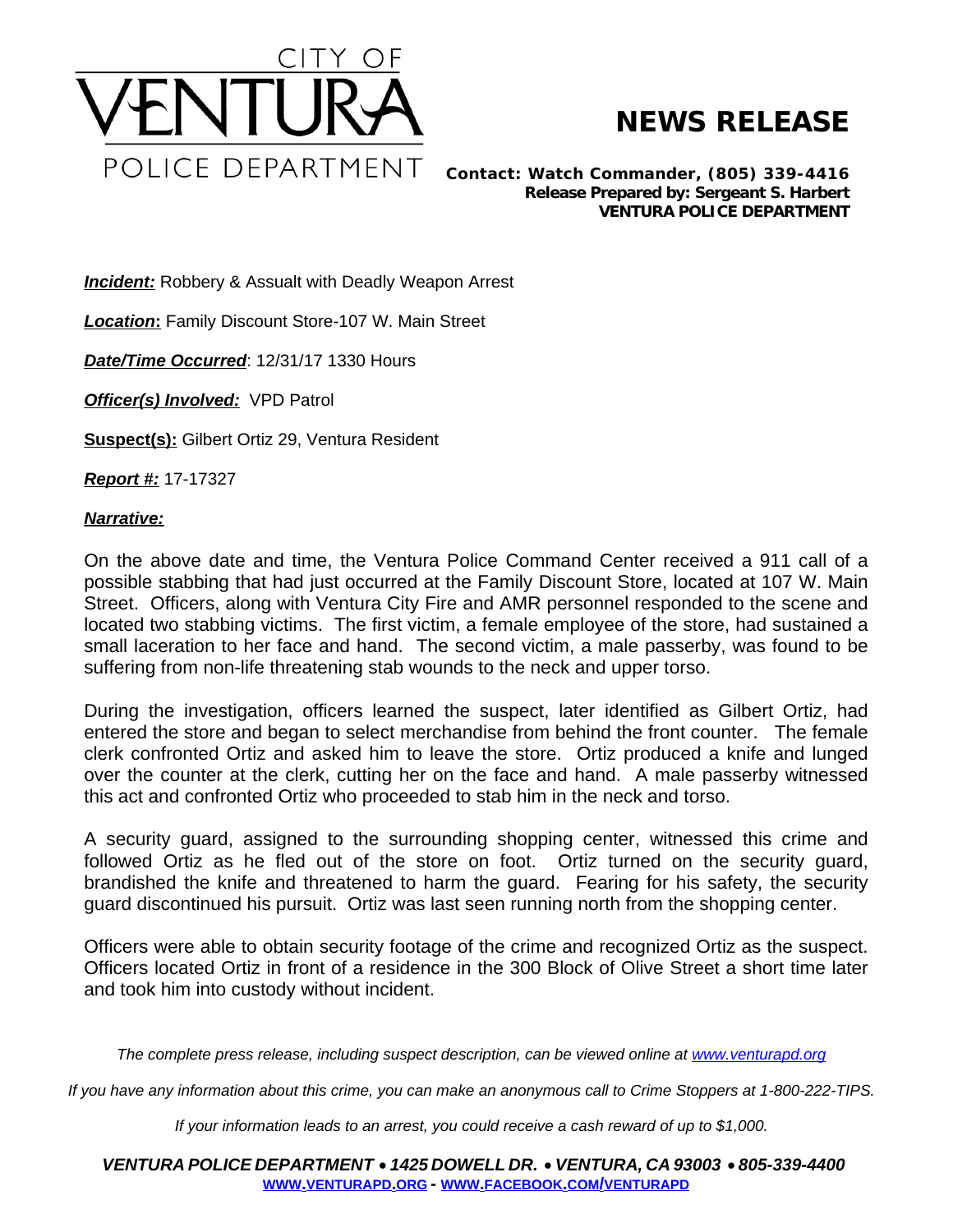

## **NEWS RELEASE**

*Contact: Watch Commander, (805) 339-4416 Release Prepared by: Sergeant S. Harbert* **VENTURA POLICE DEPARTMENT**

**Incident:** Robbery & Assualt with Deadly Weapon Arrest

*Location***:** Family Discount Store-107 W. Main Street

*Date/Time Occurred*: 12/31/17 1330 Hours

*Officer(s) Involved:* VPD Patrol

**Suspect(s):** Gilbert Ortiz 29, Ventura Resident

*Report #:* 17-17327

## *Narrative:*

On the above date and time, the Ventura Police Command Center received a 911 call of a possible stabbing that had just occurred at the Family Discount Store, located at 107 W. Main Street. Officers, along with Ventura City Fire and AMR personnel responded to the scene and located two stabbing victims. The first victim, a female employee of the store, had sustained a small laceration to her face and hand. The second victim, a male passerby, was found to be suffering from non-life threatening stab wounds to the neck and upper torso.

During the investigation, officers learned the suspect, later identified as Gilbert Ortiz, had entered the store and began to select merchandise from behind the front counter. The female clerk confronted Ortiz and asked him to leave the store. Ortiz produced a knife and lunged over the counter at the clerk, cutting her on the face and hand. A male passerby witnessed this act and confronted Ortiz who proceeded to stab him in the neck and torso.

A security guard, assigned to the surrounding shopping center, witnessed this crime and followed Ortiz as he fled out of the store on foot. Ortiz turned on the security guard, brandished the knife and threatened to harm the guard. Fearing for his safety, the security guard discontinued his pursuit. Ortiz was last seen running north from the shopping center.

Officers were able to obtain security footage of the crime and recognized Ortiz as the suspect. Officers located Ortiz in front of a residence in the 300 Block of Olive Street a short time later and took him into custody without incident.

The complete press release, including suspect description, can be viewed online at [www.venturapd.org](http://www.venturapd.org)

*If you have any information about this crime, you can make an anonymous call to Crime Stoppers at 1-800-222-TIPS.*

*If your information leads to an arrest, you could receive a cash reward of up to \$1,000.*

*VENTURA POLICE DEPARTMENT* · *1425 DOWELL DR.* · *VENTURA, CA 93003* · *805-339-4400* **WWW.[VENTURAPD](http://www.venturapd.org).ORG** *-* **WWW.FACEBOOK.COM/[VENTURAPD](http://www.facebook.com/venturapd)**